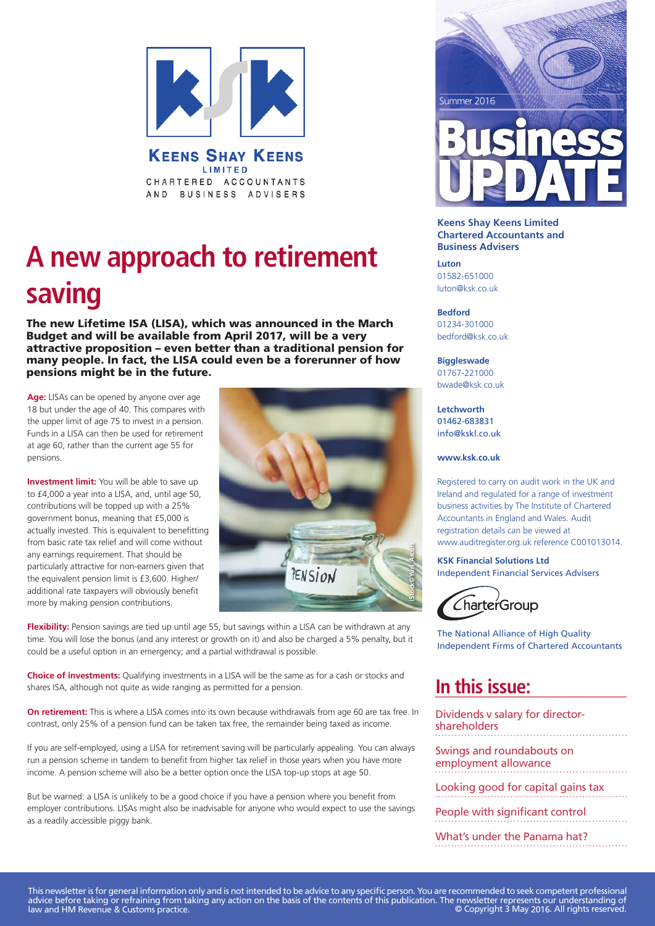

**KEENS SHAY KEENS** LIMITED CHARTERED ACCOUNTANTS AND BUSINESS ADVISERS

### **A new approach to retirement saving**

The new Lifetime ISA (LISA), which was announced in the March Budget and will be available from April 2017, will be a very attractive proposition – even better than a traditional pension for many people. In fact, the LISA could even be a forerunner of how pensions might be in the future.

**Age:** LISAs can be opened by anyone over age 18 but under the age of 40. This compares with the upper limit of age 75 to invest in a pension. Funds in a LISA can then be used for retirement at age 60, rather than the current age 55 for pensions.

**Investment limit:** You will be able to save up to £4,000 a year into a LISA, and, until age 50, contributions will be topped up with a 25% government bonus, meaning that £5,000 is actually invested. This is equivalent to benefitting from basic rate tax relief and will come without any earnings requirement. That should be particularly attractive for non-earners given that the equivalent pension limit is £3,600. Higher/ additional rate taxpayers will obviously benefit more by making pension contributions.



**Flexibility:** Pension savings are tied up until age 55, but savings within a LISA can be withdrawn at any time. You will lose the bonus (and any interest or growth on it) and also be charged a 5% penalty, but it could be a useful option in an emergency; and a partial withdrawal is possible.

**Choice of investments:** Qualifying investments in a LISA will be the same as for a cash or stocks and shares ISA, although not quite as wide ranging as permitted for a pension.

**On retirement:** This is where a LISA comes into its own because withdrawals from age 60 are tax free. In contrast, only 25% of a pension fund can be taken tax free, the remainder being taxed as income.

If you are self-employed, using a LISA for retirement saving will be particularly appealing. You can always run a pension scheme in tandem to benefit from higher tax relief in those years when you have more income. A pension scheme will also be a better option once the LISA top-up stops at age 50.

But be warned: a LISA is unlikely to be a good choice if you have a pension where you benefit from employer contributions. LISAs might also be inadvisable for anyone who would expect to use the savings as a readily accessible piggy bank.



#### **Keens Shay Keens Limited Chartered Accountants and Business Advisers**

**Luton** 01582-651000 luton@ksk.co.uk

**Bedford** 01234-301000 bedford@ksk.co.uk

#### **Biggleswade**

01767-221000 bwade@ksk.co.uk

**PicSource** info@kskl.co.uk **Letchworth** 01462-683831

**www.ksk.co.uk**

Registered to carry on audit work in the UK and Ireland and regulated for a range of investment business activities by The Institute of Chartered Accountants in England and Wales. Audit registration details can be viewed at www.auditregister.org.uk reference C001013014.

**KSK Financial Solutions Ltd** Independent Financial Services Advisers



The National Alliance of High Quality Independent Firms of Chartered Accountants

### **In this issue:**

Dividends v salary for directorshareholders

Swings and roundabouts on employment allowance

Looking good for capital gains tax

People with significant control

What's under the Panama hat?

This newsletter is for general information only and is not intended to be advice to any specific person. You are recommended to seek competent professional advice before taking or refraining from taking any action on the basis of the contents of this publication. The newsletter represents our understanding of law and HM Revenue & Customs practice. © Copyright 3 May 2016. All rights reserved.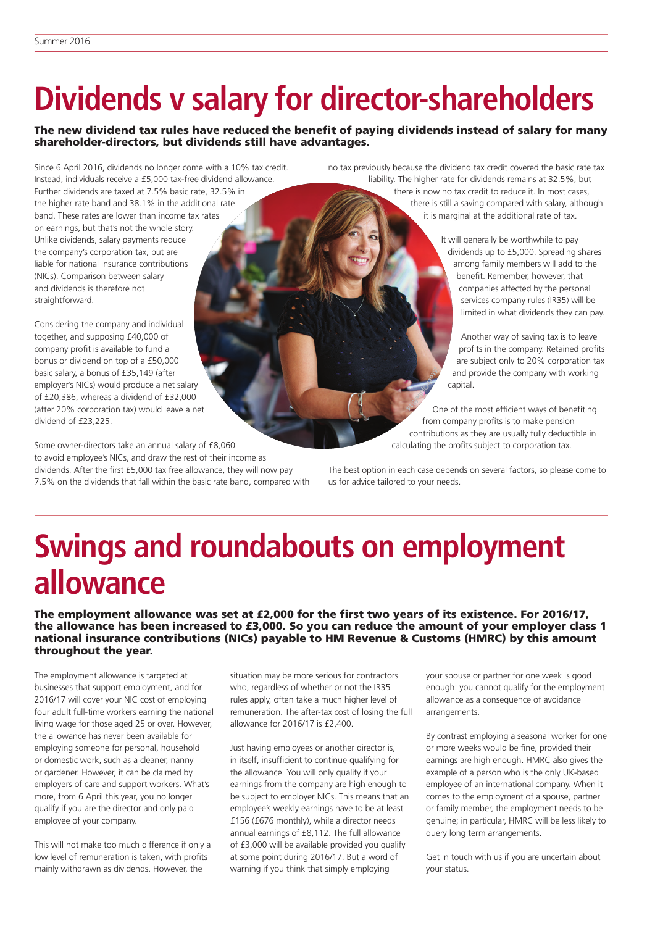straightforward.

# **Dividends v salary for director-shareholders**

#### The new dividend tax rules have reduced the benefit of paying dividends instead of salary for many shareholder-directors, but dividends still have advantages.

Since 6 April 2016, dividends no longer come with a 10% tax credit. Instead, individuals receive a £5,000 tax-free dividend allowance. Further dividends are taxed at 7.5% basic rate, 32.5% in the higher rate band and 38.1% in the additional rate band. These rates are lower than income tax rates on earnings, but that's not the whole story. Unlike dividends, salary payments reduce the company's corporation tax, but are liable for national insurance contributions (NICs). Comparison between salary and dividends is therefore not

Considering the company and individual together, and supposing £40,000 of company profit is available to fund a bonus or dividend on top of a £50,000 basic salary, a bonus of £35,149 (after employer's NICs) would produce a net salary of £20,386, whereas a dividend of £32,000 (after 20% corporation tax) would leave a net dividend of £23,225.

Some owner-directors take an annual salary of £8,060 to avoid employee's NICs, and draw the rest of their income as dividends. After the first £5,000 tax free allowance, they will now pay 7.5% on the dividends that fall within the basic rate band, compared with no tax previously because the dividend tax credit covered the basic rate tax liability. The higher rate for dividends remains at 32.5%, but

there is now no tax credit to reduce it. In most cases, there is still a saving compared with salary, although it is marginal at the additional rate of tax.

> It will generally be worthwhile to pay dividends up to £5,000. Spreading shares among family members will add to the benefit. Remember, however, that companies affected by the personal services company rules (IR35) will be limited in what dividends they can pay.

Another way of saving tax is to leave profits in the company. Retained profits are subject only to 20% corporation tax and provide the company with working capital.

One of the most efficient ways of benefiting from company profits is to make pension contributions as they are usually fully deductible in calculating the profits subject to corporation tax. **Si tock© uj l ei 5f 14**

The best option in each case depends on several factors, so please come to us for advice tailored to your needs.

### **Swings and roundabouts on employment allowance**

The employment allowance was set at £2,000 for the first two years of its existence. For 2016/17, the allowance has been increased to £3,000. So you can reduce the amount of your employer class 1 national insurance contributions (NICs) payable to HM Revenue & Customs (HMRC) by this amount throughout the year.

The employment allowance is targeted at businesses that support employment, and for 2016/17 will cover your NIC cost of employing four adult full-time workers earning the national living wage for those aged 25 or over. However, the allowance has never been available for employing someone for personal, household or domestic work, such as a cleaner, nanny or gardener. However, it can be claimed by employers of care and support workers. What's more, from 6 April this year, you no longer qualify if you are the director and only paid employee of your company.

This will not make too much difference if only a low level of remuneration is taken, with profits mainly withdrawn as dividends. However, the

situation may be more serious for contractors who, regardless of whether or not the IR35 rules apply, often take a much higher level of remuneration. The after-tax cost of losing the full allowance for 2016/17 is £2,400.

Just having employees or another director is, in itself, insufficient to continue qualifying for the allowance. You will only qualify if your earnings from the company are high enough to be subject to employer NICs. This means that an employee's weekly earnings have to be at least £156 (£676 monthly), while a director needs annual earnings of £8,112. The full allowance of £3,000 will be available provided you qualify at some point during 2016/17. But a word of warning if you think that simply employing

your spouse or partner for one week is good enough: you cannot qualify for the employment allowance as a consequence of avoidance arrangements.

By contrast employing a seasonal worker for one or more weeks would be fine, provided their earnings are high enough. HMRC also gives the example of a person who is the only UK-based employee of an international company. When it comes to the employment of a spouse, partner or family member, the employment needs to be genuine; in particular, HMRC will be less likely to query long term arrangements.

Get in touch with us if you are uncertain about your status.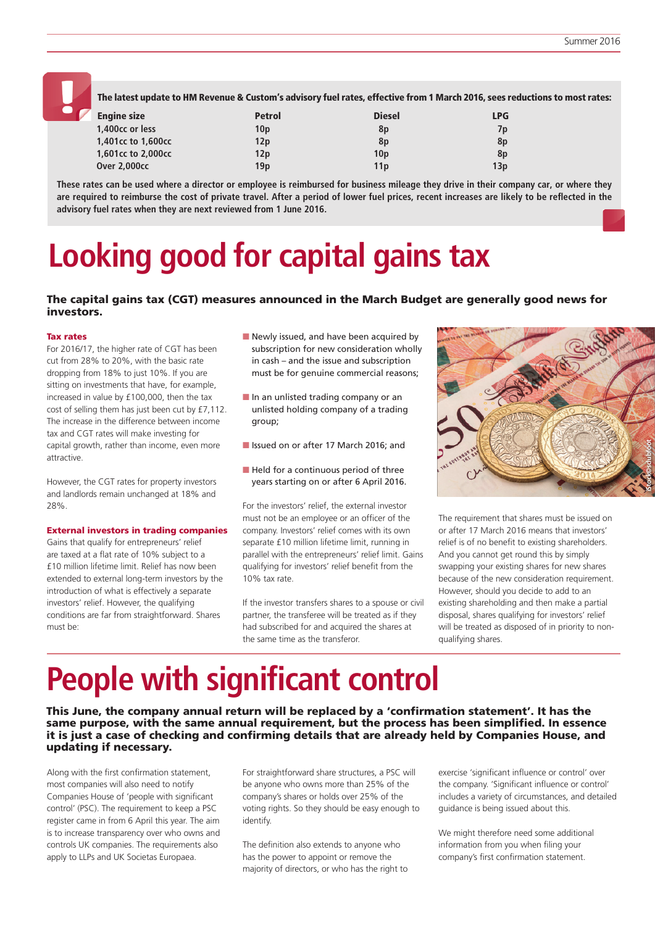

The latest update to HM Revenue & Custom's advisory fuel rates, effective from 1 March 2016, sees reductions to most rates:

| <b>Engine size</b>  | <b>Petrol</b>   | <b>Diesel</b>   | <b>LPG</b> |
|---------------------|-----------------|-----------------|------------|
| 1,400cc or less     | 10 <sub>p</sub> | 8p              | 7p         |
| 1,401cc to 1,600cc  | 12p             | 8p              | 8p         |
| 1,601cc to 2,000cc  | 12p             | 10 <sub>D</sub> | 8p         |
| <b>Over 2.000cc</b> | 19 <sub>p</sub> | 11 <sub>p</sub> | 13p        |

**These rates can be used where a director or employee is reimbursed for business mileage they drive in their company car, or where they are required to reimburse the cost of private travel. After a period of lower fuel prices, recent increases are likely to be reflected in the advisory fuel rates when they are next reviewed from 1 June 2016.**

# **Looking good for capital gains tax**

#### The capital gains tax (CGT) measures announced in the March Budget are generally good news for investors.

#### Tax rates

For 2016/17, the higher rate of CGT has been cut from 28% to 20%, with the basic rate dropping from 18% to just 10%. If you are sitting on investments that have, for example, increased in value by £100,000, then the tax cost of selling them has just been cut by £7,112. The increase in the difference between income tax and CGT rates will make investing for capital growth, rather than income, even more attractive.

However, the CGT rates for property investors and landlords remain unchanged at 18% and 28%.

#### External investors in trading companies

Gains that qualify for entrepreneurs' relief are taxed at a flat rate of 10% subject to a £10 million lifetime limit. Relief has now been extended to external long-term investors by the introduction of what is effectively a separate investors' relief. However, the qualifying conditions are far from straightforward. Shares must be:

- Newly issued, and have been acquired by subscription for new consideration wholly in cash – and the issue and subscription must be for genuine commercial reasons;
- $\blacksquare$  In an unlisted trading company or an unlisted holding company of a trading group;
- **n** Issued on or after 17 March 2016; and
- $\blacksquare$  Held for a continuous period of three years starting on or after 6 April 2016.

For the investors' relief, the external investor must not be an employee or an officer of the company. Investors' relief comes with its own separate £10 million lifetime limit, running in parallel with the entrepreneurs' relief limit. Gains qualifying for investors' relief benefit from the 10% tax rate.

If the investor transfers shares to a spouse or civil partner, the transferee will be treated as if they had subscribed for and acquired the shares at the same time as the transferor.



The requirement that shares must be issued on or after 17 March 2016 means that investors' relief is of no benefit to existing shareholders. And you cannot get round this by simply swapping your existing shares for new shares because of the new consideration requirement. However, should you decide to add to an existing shareholding and then make a partial disposal, shares qualifying for investors' relief will be treated as disposed of in priority to nonqualifying shares.

# **People with significant control**

This June, the company annual return will be replaced by a 'confirmation statement'. It has the same purpose, with the same annual requirement, but the process has been simplified. In essence it is just a case of checking and confirming details that are already held by Companies House, and updating if necessary.

Along with the first confirmation statement, most companies will also need to notify Companies House of 'people with significant control' (PSC). The requirement to keep a PSC register came in from 6 April this year. The aim is to increase transparency over who owns and controls UK companies. The requirements also apply to LLPs and UK Societas Europaea.

For straightforward share structures, a PSC will be anyone who owns more than 25% of the company's shares or holds over 25% of the voting rights. So they should be easy enough to identify.

The definition also extends to anyone who has the power to appoint or remove the majority of directors, or who has the right to exercise 'significant influence or control' over the company. 'Significant influence or control' includes a variety of circumstances, and detailed guidance is being issued about this.

We might therefore need some additional information from you when filing your company's first confirmation statement.